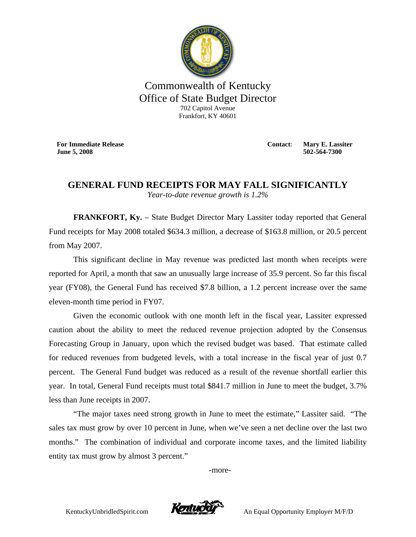

## Commonwealth of Kentucky Office of State Budget Director 702 Capitol Avenue Frankfort, KY 40601

**For Immediate Release June 5, 2008**

**Contact: Mary E. Lassiter 502-564-7300** 

## **GENERAL FUND RECEIPTS FOR MAY FALL SIGNIFICANTLY**  *Year-to-date revenue growth is 1.2%*

**FRANKFORT, Ky.** – State Budget Director Mary Lassiter today reported that General Fund receipts for May 2008 totaled \$634.3 million, a decrease of \$163.8 million, or 20.5 percent from May 2007.

This significant decline in May revenue was predicted last month when receipts were reported for April, a month that saw an unusually large increase of 35.9 percent. So far this fiscal year (FY08), the General Fund has received \$7.8 billion, a 1.2 percent increase over the same eleven-month time period in FY07.

Given the economic outlook with one month left in the fiscal year, Lassiter expressed caution about the ability to meet the reduced revenue projection adopted by the Consensus Forecasting Group in January, upon which the revised budget was based. That estimate called for reduced revenues from budgeted levels, with a total increase in the fiscal year of just 0.7 percent. The General Fund budget was reduced as a result of the revenue shortfall earlier this year. In total, General Fund receipts must total \$841.7 million in June to meet the budget, 3.7% less than June receipts in 2007.

"The major taxes need strong growth in June to meet the estimate," Lassiter said. "The sales tax must grow by over 10 percent in June, when we've seen a net decline over the last two months." The combination of individual and corporate income taxes, and the limited liability entity tax must grow by almost 3 percent."

-more-



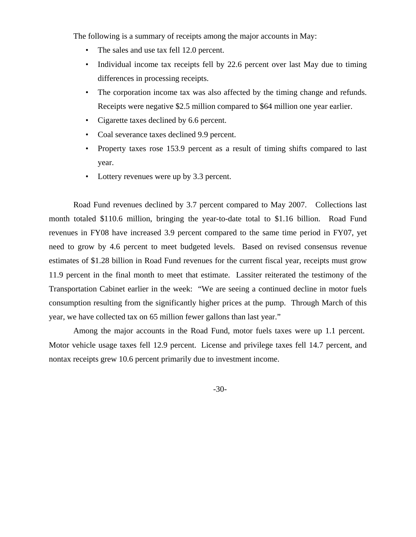The following is a summary of receipts among the major accounts in May:

- The sales and use tax fell 12.0 percent.
- Individual income tax receipts fell by 22.6 percent over last May due to timing differences in processing receipts.
- The corporation income tax was also affected by the timing change and refunds. Receipts were negative \$2.5 million compared to \$64 million one year earlier.
- Cigarette taxes declined by 6.6 percent.
- Coal severance taxes declined 9.9 percent.
- Property taxes rose 153.9 percent as a result of timing shifts compared to last year.
- Lottery revenues were up by 3.3 percent.

Road Fund revenues declined by 3.7 percent compared to May 2007. Collections last month totaled \$110.6 million, bringing the year-to-date total to \$1.16 billion. Road Fund revenues in FY08 have increased 3.9 percent compared to the same time period in FY07, yet need to grow by 4.6 percent to meet budgeted levels. Based on revised consensus revenue estimates of \$1.28 billion in Road Fund revenues for the current fiscal year, receipts must grow 11.9 percent in the final month to meet that estimate. Lassiter reiterated the testimony of the Transportation Cabinet earlier in the week: "We are seeing a continued decline in motor fuels consumption resulting from the significantly higher prices at the pump. Through March of this year, we have collected tax on 65 million fewer gallons than last year."

Among the major accounts in the Road Fund, motor fuels taxes were up 1.1 percent. Motor vehicle usage taxes fell 12.9 percent. License and privilege taxes fell 14.7 percent, and nontax receipts grew 10.6 percent primarily due to investment income.

-30-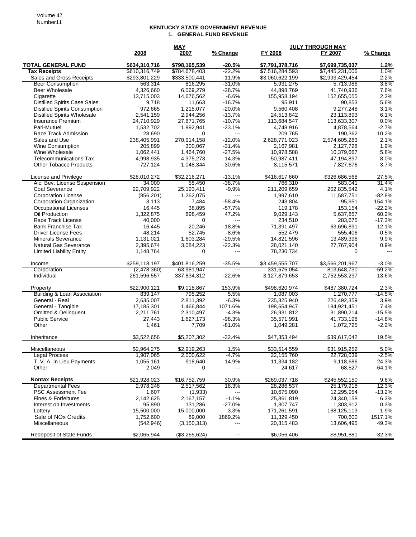## **KENTUCKY STATE GOVERNMENT REVENUE 1. GENERAL FUND REVENUE**

|                                                  |                                | <b>MAY</b>                     |                          | <b>JULY THROUGH MAY</b>            |                                    |                |
|--------------------------------------------------|--------------------------------|--------------------------------|--------------------------|------------------------------------|------------------------------------|----------------|
|                                                  | 2008                           | 2007                           | % Change                 | FY 2008                            | FY 2007                            | % Change       |
| <b>TOTAL GENERAL FUND</b><br><b>Tax Receipts</b> | \$634,310,716<br>\$610,316,749 | \$798,165,539<br>\$784,678,403 | $-20.5%$<br>$-22.2%$     | \$7,791,378,716<br>\$7,516,284,593 | \$7,699,735,037<br>\$7,445,231,006 | 1.2%<br>1.0%   |
| Sales and Gross Receipts                         | \$293,801,229                  | \$333,500,441                  | $-11.9%$                 | \$3,060,622,199                    | \$2,993,429,454                    | 2.2%           |
| <b>Beer Consumption</b>                          | 563,314                        | 816,295                        | $-31.0%$                 | 5,931,275                          | 5,713,986                          | 3.8%           |
| Beer Wholesale                                   | 4.326.660                      | 6,069,279                      | $-28.7%$                 | 44,898,769                         | 41,740,936                         | 7.6%           |
| Cigarette                                        | 13,715,003                     | 14,676,562                     | $-6.6%$                  | 155,958,194                        | 152,655,055                        | 2.2%           |
| <b>Distilled Spirits Case Sales</b>              | 9,718                          | 11,663                         | $-16.7%$                 | 95,911                             | 90,853                             | 5.6%           |
| <b>Distilled Spirits Consumption</b>             | 972,665                        | 1,215,077                      | $-20.0\%$                | 9,560,408                          | 9,277,248                          | 3.1%           |
| <b>Distilled Spirits Wholesale</b>               | 2,541,159                      | 2,944,256                      | $-13.7%$                 | 24,513,842                         | 23,113,893                         | 6.1%           |
| Insurance Premium                                | 24,710,929                     | 27,671,765                     | $-10.7%$                 | 113,684,547                        | 113,633,307                        | 0.0%           |
| Pari-Mutuel                                      | 1,532,702                      | 1,992,941                      | $-23.1%$                 | 4,748,916                          | 4,878,564                          | $-2.7%$        |
| Race Track Admission                             | 28,690                         | 0                              | $\overline{a}$           | 209,765                            | 190,362                            | 10.2%          |
| Sales and Use                                    | 238,405,991                    | 270.914.158                    | $-12.0%$                 | 2,628,771,023                      | 2,574,605,283                      | 2.1%           |
| <b>Wine Consumption</b>                          | 205,899                        | 300,067                        | $-31.4%$                 | 2,167,981                          | 2,127,728                          | 1.9%           |
| Wine Wholesale                                   | 1,062,441                      | 1,464,760                      | $-27.5%$                 | 10,978,588                         | 10,379,667                         | 5.8%           |
| Telecommunications Tax                           | 4,998,935                      | 4,375,273                      | 14.3%                    | 50,987,411                         | 47,194,897                         | 8.0%           |
| <b>Other Tobacco Products</b>                    | 727,124                        | 1,048,344                      | $-30.6%$                 | 8,115,571                          | 7,827,676                          | 3.7%           |
| License and Privilege                            | \$28,010,272                   | \$32,216,271                   | $-13.1%$                 | \$416,617,660                      | \$326,686,568                      | 27.5%          |
| Alc. Bev. License Suspension                     | 34,000                         | 55,450                         | $-38.7%$                 | 766,310                            | 583,041                            | 31.4%          |
| Coal Severance                                   | 22,709,922                     | 25,193,411                     | $-9.9%$                  | 211,209,659                        | 202,835,542                        | 4.1%           |
| <b>Corporation License</b>                       | (856, 201)                     | 1,262,075                      | $\qquad \qquad - -$      | 1,997,610                          | 11,587,751                         | $-82.8%$       |
| Corporation Organization                         | 3,113                          | 7,484                          | $-58.4%$                 | 243,804                            | 95,951                             | 154.1%         |
| <b>Occupational Licenses</b>                     | 16,445                         | 38,895                         | $-57.7%$                 | 119,178                            | 153,154                            | $-22.2%$       |
| Oil Production                                   | 1,322,875                      | 898,459                        | 47.2%                    | 9,029,143                          | 5,637,857                          | 60.2%          |
| Race Track License                               | 40,000                         | 0                              | ---                      | 234,510                            | 283,675                            | $-17.3%$       |
| <b>Bank Franchise Tax</b>                        | 16,445                         | 20,246                         | $-18.8%$                 | 71,391,497                         | 63,696,891                         | 12.1%          |
| Driver License Fees                              | 48,214                         | 52,745                         | $-8.6%$                  | 552,479                            | 555,406                            | $-0.5%$        |
| <b>Minerals Severance</b>                        | 1,131,021                      | 1,603,284                      | $-29.5%$                 | 14,821,596                         | 13,489,396                         | 9.9%           |
| <b>Natural Gas Severance</b>                     | 2,395,674                      | 3,084,223                      | $-22.3%$                 | 28,021,140                         | 27,767,904                         | 0.9%           |
| <b>Limited Liability Entity</b>                  | 1,148,764                      | $\Omega$                       | $\overline{\phantom{a}}$ | 78,230,734                         | $\Omega$                           | $\overline{a}$ |
| Income                                           | \$259,118,197                  | \$401,816,259                  | $-35.5%$                 | \$3,459,555,707                    | \$3,566,201,967                    | $-3.0%$        |
| Corporation                                      | (2,478,360)                    | 63,981,947                     | $\overline{}$            | 331,676,054                        | 813,648,730                        | -59.2%         |
| Individual                                       | 261,596,557                    | 337,834,312                    | $-22.6%$                 | 3,127,879,653                      | 2,752,553,237                      | 13.6%          |
| Property                                         | \$22,900,121                   | \$9,018,867                    | 153.9%                   | \$498,620,974                      | \$487,380,724                      | 2.3%           |
| Building & Loan Association                      | 839,147                        | 795,252                        | 5.5%                     | 1,087,003                          | 1,270,777                          | $-14.5%$       |
| General - Real                                   | 2,635,007                      | 2,811,392                      | $-6.3%$                  | 235,325,940                        | 226,492,359                        | 3.9%           |
| General - Tangible                               | 17,185,301                     | 1,466,844                      | 1071.6%                  | 198,654,947                        | 184,921,451                        | 7.4%           |
| <b>Omitted &amp; Delinquent</b>                  | 2,211,761                      | 2,310,497                      | $-4.3%$                  | 26,931,812                         | 31,890,214                         | $-15.5%$       |
| <b>Public Service</b>                            | 27,443                         | 1,627,173                      | $-98.3%$                 | 35,571,991                         | 41,733,198                         | $-14.8%$       |
| Other                                            | 1,461                          | 7,709                          | -81.0%                   | 1,049,281                          | 1,072,725                          | $-2.2%$        |
| Inheritance                                      | \$3,522,656                    | \$5,207,302                    | $-32.4%$                 | \$47,353,494                       | \$39,617,042                       | 19.5%          |
| <b>Miscellaneous</b>                             | \$2,964,275                    | \$2,919,263                    | 1.5%                     | \$33,514,559                       | \$31,915,252                       | $5.0\%$        |
| <b>Legal Process</b>                             | 1,907,065                      | 2,000,622                      | $-4.7%$                  | 22,155,760                         | 22,728,039                         | $-2.5%$        |
| T. V. A. In Lieu Payments                        | 1,055,161                      | 918,640                        | 14.9%                    | 11,334,182                         | 9,118,686                          | 24.3%          |
| Other                                            | 2,049                          | 0                              | ---                      | 24,617                             | 68,527                             | -64.1%         |
| <b>Nontax Receipts</b>                           | \$21,928,023                   | \$16,752,759                   | 30.9%                    | \$269,037,718                      | \$245,552,150                      | 9.6%           |
| <b>Departmental Fees</b>                         | 2,978,248                      | 2,517,562                      | 18.3%                    | 28,286,537                         | 25,179,918                         | 12.3%          |
| <b>PSC Assessment Fee</b>                        | 1,607                          | (1,933)                        | $--$                     | 10,675,090                         | 12,295,954                         | $-13.2%$       |
| Fines & Forfeitures                              | 2,142,625                      | 2,167,157                      | $-1.1%$                  | 25,861,819                         | 24,340,158                         | 6.3%           |
| Interest on Investments                          | 95,890                         | 131,286                        | $-27.0%$                 | 1,307,747                          | 1,303,912                          | 0.3%           |
| Lottery                                          | 15,500,000                     | 15,000,000                     | 3.3%                     | 171,261,591                        | 168,125,113                        | 1.9%           |
| Sale of NO <sub>x</sub> Credits                  | 1,752,600                      | 89,000                         | 1869.2%                  | 11,329,450                         | 700,600                            | 1517.1%        |
| Miscellaneous                                    | (542, 946)                     | (3, 150, 313)                  | ---                      | 20,315,483                         | 13,606,495                         | 49.3%          |
| <b>Redeposit of State Funds</b>                  | \$2,065,944                    | (\$3,265,624)                  | ---                      | \$6,056,406                        | \$8,951,881                        | $-32.3%$       |